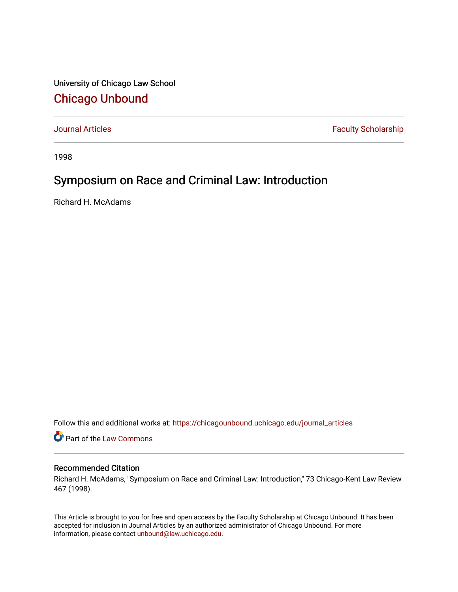University of Chicago Law School [Chicago Unbound](https://chicagounbound.uchicago.edu/)

[Journal Articles](https://chicagounbound.uchicago.edu/journal_articles) **Faculty Scholarship Faculty Scholarship** 

1998

## Symposium on Race and Criminal Law: Introduction

Richard H. McAdams

Follow this and additional works at: [https://chicagounbound.uchicago.edu/journal\\_articles](https://chicagounbound.uchicago.edu/journal_articles?utm_source=chicagounbound.uchicago.edu%2Fjournal_articles%2F1644&utm_medium=PDF&utm_campaign=PDFCoverPages) 

**C** Part of the [Law Commons](http://network.bepress.com/hgg/discipline/578?utm_source=chicagounbound.uchicago.edu%2Fjournal_articles%2F1644&utm_medium=PDF&utm_campaign=PDFCoverPages)

## Recommended Citation

Richard H. McAdams, "Symposium on Race and Criminal Law: Introduction," 73 Chicago-Kent Law Review 467 (1998).

This Article is brought to you for free and open access by the Faculty Scholarship at Chicago Unbound. It has been accepted for inclusion in Journal Articles by an authorized administrator of Chicago Unbound. For more information, please contact [unbound@law.uchicago.edu](mailto:unbound@law.uchicago.edu).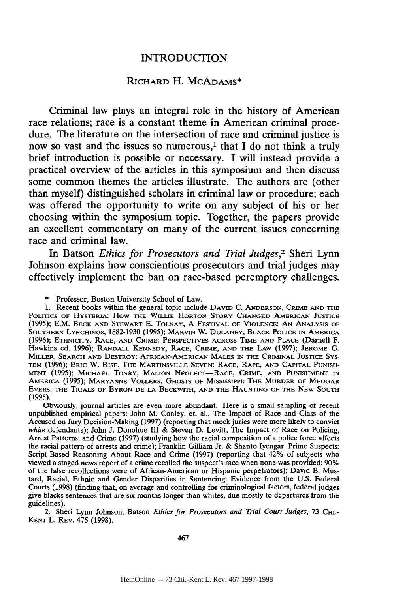## **INTRODUCTION**

## RICHARD H. MCADAMS\*

Criminal law plays an integral role in the history of American race relations; race is a constant theme in American criminal procedure. The literature on the intersection of race and criminal justice is now so vast and the issues so numerous,<sup>1</sup> that I do not think a truly brief introduction is possible or necessary. **I** will instead provide a practical overview of the articles in this symposium and then discuss some common themes the articles illustrate. The authors are (other than myself) distinguished scholars in criminal law or procedure; each was offered the opportunity to write on any subject of his or her choosing within the symposium topic. Together, the papers provide an excellent commentary on many of the current issues concerning race and criminal law.

In Batson *Ethics for Prosecutors and Trial Judges,2* Sheri Lynn Johnson explains how conscientious prosecutors and trial judges may effectively implement the ban on race-based peremptory challenges.

Professor, Boston University School of Law.

**1.** Recent books within the general topic include **DAVID** C. **ANDERSON,** CRIME **AND** THE **POLITICS** OF HYSTERIA: How THE WILLIE HORTON STORY CHANGED AMERICAN **JUSTICE** (1995); E.M. BECK **AND** STEWART **E.** TOLNAY, A FESTIVAL **OF VIOLENCE:** AN ANALYSIS OF SOUTHERN LYNCHINGS, 1882-1930 (1995); MARVIN W. DULANEY, BLACK POLICE **IN** AMERICA (1996); ETHNIcrry, RACE, **AND** CRIME: PERSPECTIVES ACROSS TIME AND PLACE (Darnell F. Hawkins ed. 1996); RANDALL KENNEDY, RACE, CRIME, AND THE LAW (1997); JEROME **G.** MILLER, SEARCH **AND** DESTROY: AFRICAN-AMERICAN **MALES** IN THE CRIMINAL **JUSTICE SYS-**TEM (1996); ERIC W. RISE, THE MARTINSVILLE SEVEN: RACE, RAPE, AND CAPITAL PUNISH-**MENT** (1995); **MICHAEL** TONRY, MALIGN NEGLECr-RACE, CRIME, **AND PUNISHMENT IN** AMERICA (1995); MARYANNE VOLLERS, GHOSTS OF MISSISSIPPI: THE MURDER OP MEDGAR EVERS, THE TRIALS OF BYRON **DE LA** BECKWITH, **AND THE** HAUNTING **OF** THE **NEW** SOUTH (1995).

Obviously, journal articles are even more abundant. Here is a small sampling of recent unpublished empirical papers: John M. Conley, et. al., The Impact of Race and Class of the Accused on Jury Decision-Making (1997) (reporting that mock juries were more likely to convict white defendants); John J. Donohue III & Steven D. Levitt, The Impact of Race on Policing, Arrest Patterns, and Crime (1997) (studying how the racial composition of a police force affects the racial pattern of arrests and crime); Franklin Gilliam Jr. & Shanto Iyengar, Prime Suspects: Script-Based Reasoning About Race and Crime (1997) (reporting that 42% of subjects who viewed a staged news report of a crime recalled the suspect's race when none was provided; 90% of the false recollections were of African-American or Hispanic perpetrators); David B. Mustard, Racial, Ethnic and Gender Disparities in Sentencing: Evidence from the U.S. Federal Courts (1998) (finding that, on average and controlling for criminological factors, federal judges give blacks sentences that are six months longer than whites, due mostly to departures from the guidelines).

2. Sheri Lynn Johnson, Batson *Ethics for Prosecutors and Trial Court Judges*, 73 C<sub>HI</sub>.-KENT L. REv. 475 (1998).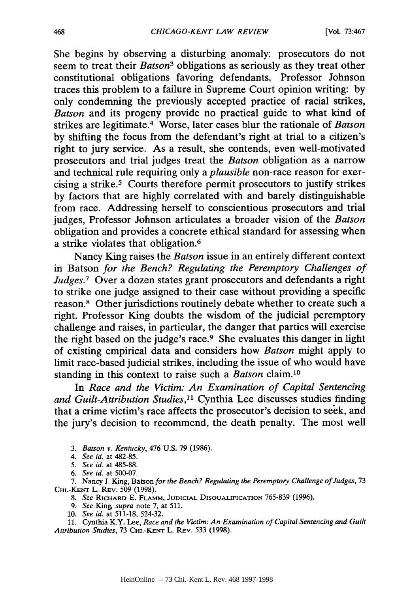She begins by observing a disturbing anomaly: prosecutors do not seem to treat their *Batson3* obligations as seriously as they treat other constitutional obligations favoring defendants. Professor Johnson traces this problem to a failure in Supreme Court opinion writing: by only condemning the previously accepted practice of racial strikes, *Batson* and its progeny provide no practical guide to what kind of strikes are legitimate. 4 Worse, later cases blur the rationale of *Batson* by shifting the focus from the defendant's right at trial to a citizen's right to jury service. As a result, she contends, even well-motivated prosecutors and trial judges treat the *Batson* obligation as a narrow and technical rule requiring only a *plausible* non-race reason for exercising a strike.5 Courts therefore permit prosecutors to justify strikes by factors that are highly correlated with and barely distinguishable from race. Addressing herself to conscientious prosecutors and trial judges, Professor Johnson articulates a broader vision of the *Batson* obligation and provides a concrete ethical standard for assessing when a strike violates that obligation.<sup>6</sup>

Nancy King raises the *Batson* issue in an entirely different context in Batson *for the Bench? Regulating the Peremptory Challenges of Judges.7* Over a dozen states grant prosecutors and defendants a right to strike one judge assigned to their case without providing a specific reason.8 Other jurisdictions routinely debate whether to create such a right. Professor King doubts the wisdom of the judicial peremptory challenge and raises, in particular, the danger that parties will exercise the right based on the judge's race.9 She evaluates this danger in light of existing empirical data and considers how *Batson* might apply to limit race-based judicial strikes, including the issue of who would have standing in this context to raise such a *Batson* claim. <sup>10</sup>

In *Race and the Victim: An Examination of Capital Sentencing and Guilt-Attribution Studies,"* Cynthia Lee discusses studies finding that a crime victim's race affects the prosecutor's decision to seek, and the jury's decision to recommend, the death penalty. The most well

- *3. Batson v. Kentucky,* 476 U.S. 79 (1986).
- *4. See id.* at 482-85.
- *5. See id.* at 485-88.
- 6. *See id.* at 500-07.

7. Nancy J. King, Batson *for the Bench? Regulating the Peremptory Challenge of Judges,* 73 CHI.-KENT L. REV. 509 (1998).

- *8. See* RICHARD E. FLmmi, **JUDICIAL** DISQUALIFICATION 765-839 (1996).
- *9. See King, supra* note 7, at 511.
- 10. *See id.* at 511-18, 524-32.

11. Cynthia K.Y. Lee, *Race and the Victim: An Examination of Capital Sentencing and Guilt Attribution Studies,* 73 **CHI.-KEr** L. REV. 533 (1998).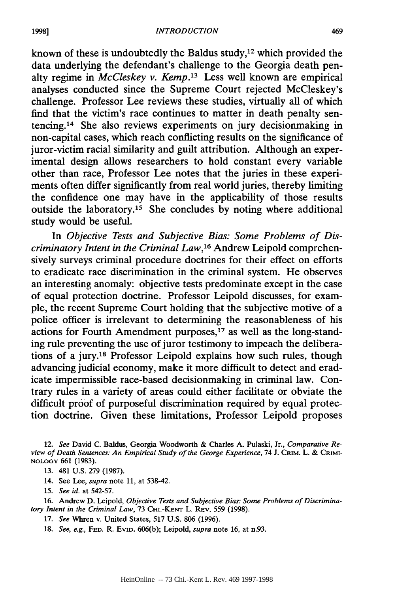known of these is undoubtedly the Baldus study, $12$  which provided the data underlying the defendant's challenge to the Georgia death penalty regime in *McCleskey v. Kemp.13* Less well known are empirical analyses conducted since the Supreme Court rejected McCleskey's challenge. Professor Lee reviews these studies, virtually all of which find that the victim's race continues to matter in death penalty sentencing.14 She also reviews experiments on jury decisionmaking in non-capital cases, which reach conflicting results on the significance of juror-victim racial similarity and guilt attribution. Although an experimental design allows researchers to hold constant every variable other than race, Professor Lee notes that the juries in these experiments often differ significantly from real world juries, thereby limiting the confidence one may have in the applicability of those results outside the laboratory. 15 She concludes by noting where additional study would be useful.

In *Objective Tests and Subjective Bias: Some Problems of Discriminatory Intent in the Criminal Law*,<sup>16</sup> Andrew Leipold comprehensively surveys criminal procedure doctrines for their effect on efforts to eradicate race discrimination in the criminal system. He observes an interesting anomaly: objective tests predominate except in the case of equal protection doctrine. Professor Leipold discusses, for example, the recent Supreme Court holding that the subjective motive of a police officer is irrelevant to determining the reasonableness of his actions for Fourth Amendment purposes, $17$  as well as the long-standing rule preventing the use of juror testimony to impeach the deliberations of a jury. 18 Professor Leipold explains how such rules, though advancing judicial economy, make it more difficult to detect and eradicate impermissible race-based decisionmaking in criminal law. Contrary rules in a variety of areas could either facilitate or obviate the difficult proof of purposeful discrimination required by equal protection doctrine. Given these limitations, Professor Leipold proposes

12. *See* David C. Baldus, Georgia Woodworth & Charles A. Pulaski, Jr., *Comparative Re*view of Death Sentences: An Empirical Study of the George Experience, 74 J. CRIM. L. & CRIMI-**NOLOGY** 661 (1983).

**13.** 481 U.S. 279 (1987).

14. See Lee, *supra* note **11,** at 538-42.

**15.** *See id.* at 542-57.

16. Andrew D. Leipold, *Objective Tests and Subjective Bias: Some Problems of Discriminatory Intent in the Criminal Law,* 73 **CHi.-KENrr** L. REv. 559 (1998).

**17.** *See* Whren v. United States, 517 U.S. 806 (1996).

18. *See, e.g.,* **FED.** R. EviD. 606(b); Leipold, *supra* note 16, at n.93.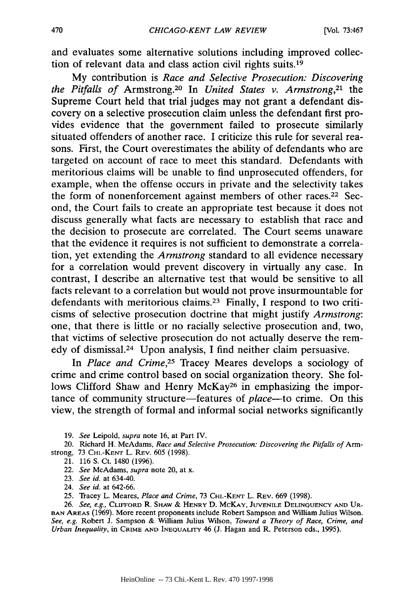and evaluates some alternative solutions including improved collection of relevant data and class action civil rights suits.19

My contribution is *Race and Selective Prosecution: Discovering the Pitfalls of* Armstrong.20 In *United States v. Armstrong,21* the Supreme Court held that trial judges may not grant a defendant discovery on a selective prosecution claim unless the defendant first provides evidence that the government failed to prosecute similarly situated offenders of another race. I criticize this rule for several reasons. First, the Court overestimates the ability of defendants who are targeted on account of race to meet this standard. Defendants with meritorious claims will be unable to find unprosecuted offenders, for example, when the offense occurs in private and the selectivity takes the form of nonenforcement against members of other races.<sup>22</sup> Second, the Court fails to create an appropriate test because it does not discuss generally what facts are necessary to establish that race and the decision to prosecute are correlated. The Court seems unaware that the evidence it requires is not sufficient to demonstrate a correlation, yet extending the *Armstrong* standard to all evidence necessary for a correlation would prevent discovery in virtually any case. In contrast, I describe an alternative test that would be sensitive to all facts relevant to a correlation but would not prove insurmountable for defendants with meritorious claims.<sup>23</sup> Finally, I respond to two criticisms of selective prosecution doctrine that might justify *Armstrong:* one, that there is little or no racially selective prosecution and, two, that victims of selective prosecution do not actually deserve the remedy of dismissal.24 Upon analysis, I find neither claim persuasive.

In *Place and Crime,25* Tracey Meares develops a sociology of crime and crime control based on social organization theory. She follows Clifford Shaw and Henry McKay26 in emphasizing the importance of community structure-features of *place-to* crime. On this view, the strength of formal and informal social networks significantly

19. *See* Leipold, *supra* note 16, at Part IV.

20. Richard H. McAdams, *Race and Selective Prosecution: Discovering the Pitfalls of* Armstrong, 73 **CH.-KENT** L. REV. 605 (1998).

21. 116 S. Ct. 1480 (1996).

22. *See* McAdams, *supra* note 20, at x.

23. *See id.* at 634-40.

24. *See id.* at 642-66.

25. Tracey L. Meares, *Place and Crime,* 73 **CHI.-KENT** L. REv. 669 (1998).

26. *See, e.g.,* CLIFFORD R. SHAw & HENRY **D.** McKAY, **JUVENILE** DELINQUENCY **AND** UR-**BAN AREAS** (1969). More recent proponents include Robert Sampson and William Julius Wilson. *See, e.g.* Robert J. Sampson & William Julius Wilson, *Toward a Theory of Race, Crime, and Urban Inequality,* in CRIME **AND** INEQUALITY 46 (J. Hagan and R. Peterson eds., 1995).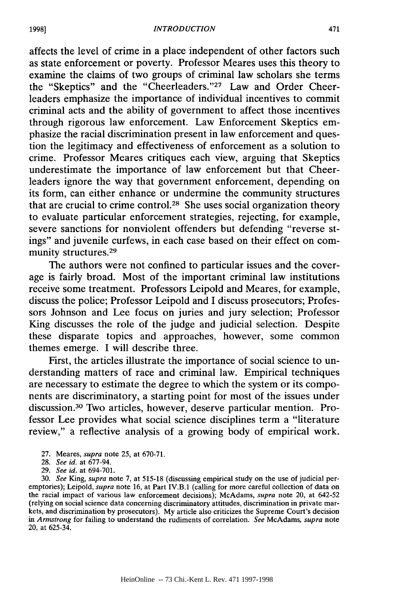affects the level of crime in a place independent of other factors such as state enforcement or poverty. Professor Meares uses this theory to examine the claims of two groups of criminal law scholars she terms the "Skeptics" and the "Cheerleaders."<sup>27</sup> Law and Order Cheerleaders emphasize the importance of individual incentives to commit criminal acts and the ability of government to affect those incentives through rigorous law enforcement. Law Enforcement Skeptics emphasize the racial discrimination present in law enforcement and question the legitimacy and effectiveness of enforcement as a solution to crime. Professor Meares critiques each view, arguing that Skeptics underestimate the importance of law enforcement but that Cheerleaders ignore the way that government enforcement, depending on its form, can either enhance or undermine the community structures that are crucial to crime control.<sup>28</sup> She uses social organization theory to evaluate particular enforcement strategies, rejecting, for example, severe sanctions for nonviolent offenders but defending "reverse stings" and juvenile curfews, in each case based on their effect on community structures.<sup>29</sup>

The authors were not confined to particular issues and the coverage is fairly broad. Most of the important criminal law institutions receive some treatment. Professors Leipold and Meares, for example, discuss the police; Professor Leipold and I discuss prosecutors; Professors Johnson and Lee focus on juries and jury selection; Professor King discusses the role of the judge and judicial selection. Despite these disparate topics and approaches, however, some common themes emerge. I will describe three.

First, the articles illustrate the importance of social science to understanding matters of race and criminal law. Empirical techniques are necessary to estimate the degree to which the system or its components are discriminatory, a starting point for most of the issues under discussion.30 Two articles, however, deserve particular mention. Professor Lee provides what social science disciplines term a "literature review," a reflective analysis of a growing body of empirical work.

- 27. Meares, *supra* note 25, at 670-71.
- 28. *See id.* at 677-94.
- 29. *See id.* at 694-701.

30. *See* King, *supra* note 7, at 515-18 (discussing empirical study on the use of judicial peremptories); Leipold, *supra* note 16, at Part IV.B.1 (calling for more careful collection of data on the racial impact of various law enforcement decisions); McAdams, *supra* note 20, at 642-52 (relying on social science data concerning discriminatory attitudes, discrimination in private markets, and discrimination by prosecutors). My article also criticizes the Supreme Court's decision *in Armstrong* for failing to understand the rudiments of correlation. *See* McAdams, *supra* note 20, at 625-34.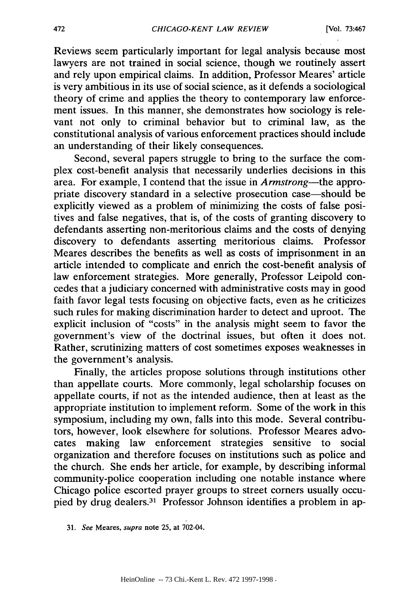Reviews seem particularly important for legal analysis because most lawyers are not trained in social science, though we routinely assert and rely upon empirical claims. In addition, Professor Meares' article is very ambitious in its use of social science, as it defends a sociological theory of crime and applies the theory to contemporary law enforcement issues. In this manner, she demonstrates how sociology is relevant not only to criminal behavior but to criminal law, as the constitutional analysis of various enforcement practices should include an understanding of their likely consequences.

Second, several papers struggle to bring to the surface the complex cost-benefit analysis that necessarily underlies decisions in this area. For example, I contend that the issue in *Armstrong-the* appropriate discovery standard in a selective prosecution case—should be explicitly viewed as a problem of minimizing the costs of false positives and false negatives, that is, of the costs of granting discovery to defendants asserting non-meritorious claims and the costs of denying discovery to defendants asserting meritorious claims. Professor Meares describes the benefits as well as costs of imprisonment in an article intended to complicate and enrich the cost-benefit analysis of law enforcement strategies. More generally, Professor Leipold concedes that a judiciary concerned with administrative costs may in good faith favor legal tests focusing on objective facts, even as he criticizes such rules for making discrimination harder to detect and uproot. The explicit inclusion of "costs" in the analysis might seem to favor the government's view of the doctrinal issues, but often it does not. Rather, scrutinizing matters of cost sometimes exposes weaknesses in the government's analysis.

Finally, the articles propose solutions through institutions other than appellate courts. More commonly, legal scholarship focuses on appellate courts, if not as the intended audience, then at least as the appropriate institution to implement reform. Some of the work in this symposium, including my own, falls into this mode. Several contributors, however, look elsewhere for solutions. Professor Meares advocates making law enforcement strategies sensitive to social organization and therefore focuses on institutions such as police and the church. She ends her article, for example, by describing informal community-police cooperation including one notable instance where Chicago police escorted prayer groups to street corners usually occupied by drug dealers.<sup>31</sup> Professor Johnson identifies a problem in ap-

<sup>31.</sup> *See* Meares, *supra* note 25, at 702-04.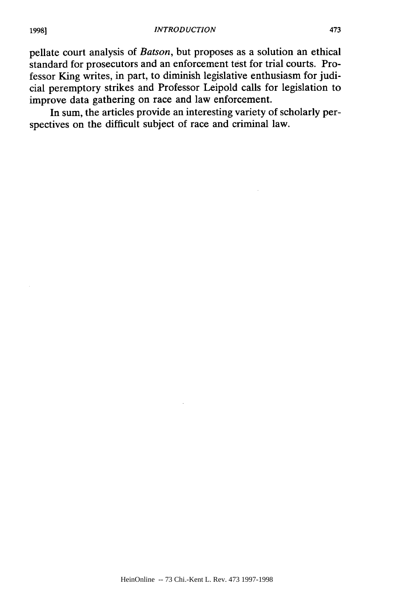pellate court analysis of *Batson,* but proposes as a solution an ethical standard for prosecutors and an enforcement test for trial courts. Professor King writes, in part, to diminish legislative enthusiasm for judicial peremptory strikes and Professor Leipold calls for legislation to improve data gathering on race and law enforcement.

In sum, the articles provide an interesting variety of scholarly perspectives on the difficult subject of race and criminal law.